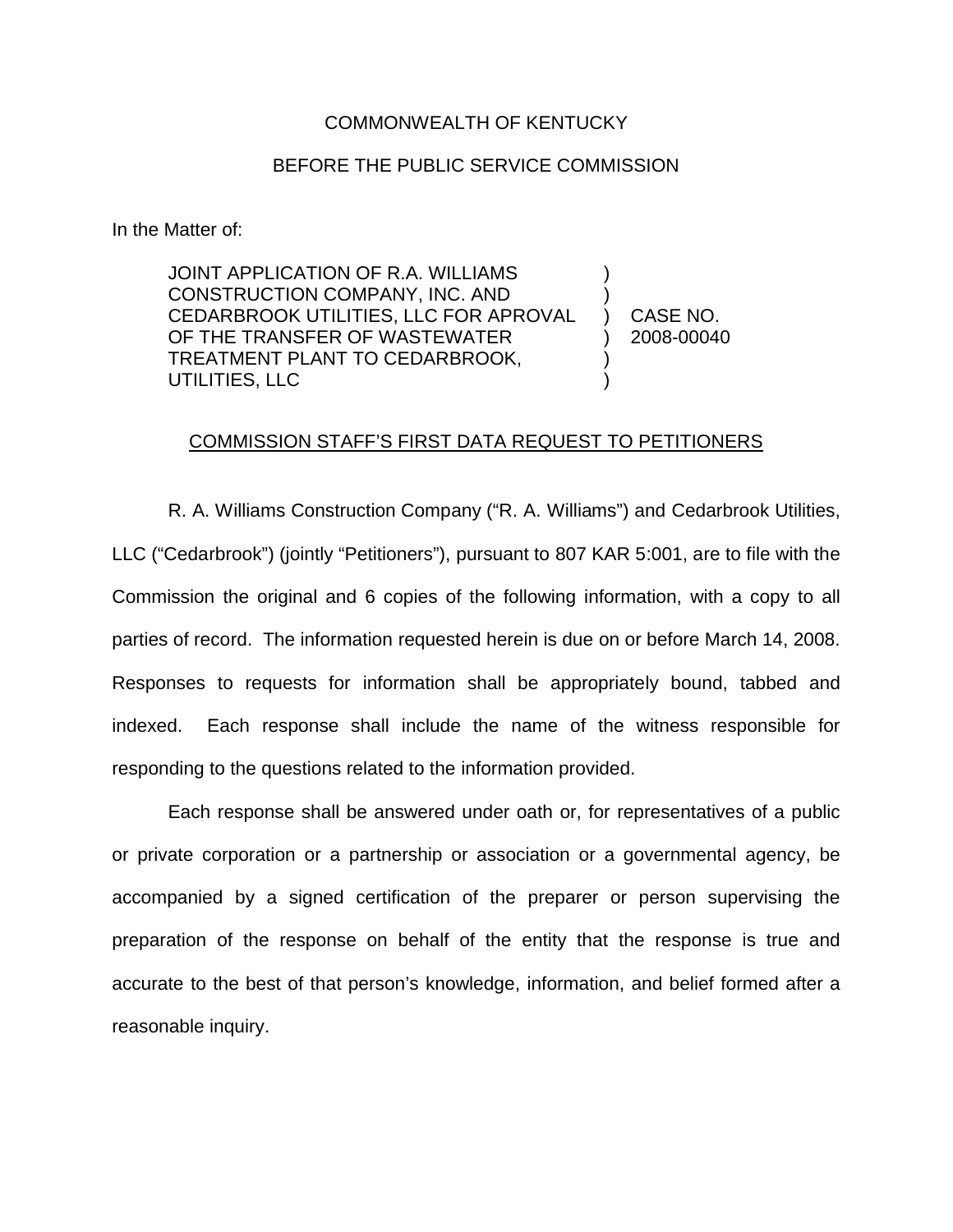## COMMONWEALTH OF KENTUCKY

## BEFORE THE PUBLIC SERVICE COMMISSION

In the Matter of:

JOINT APPLICATION OF R.A. WILLIAMS CONSTRUCTION COMPANY, INC. AND CEDARBROOK UTILITIES, LLC FOR APROVAL OF THE TRANSFER OF WASTEWATER TREATMENT PLANT TO CEDARBROOK, UTILITIES, LLC ) ) ) )

) CASE NO. ) 2008-00040

## COMMISSION STAFF'S FIRST DATA REQUEST TO PETITIONERS

R. A. Williams Construction Company ("R. A. Williams") and Cedarbrook Utilities, LLC ("Cedarbrook") (jointly "Petitioners"), pursuant to 807 KAR 5:001, are to file with the Commission the original and 6 copies of the following information, with a copy to all parties of record. The information requested herein is due on or before March 14, 2008. Responses to requests for information shall be appropriately bound, tabbed and indexed. Each response shall include the name of the witness responsible for responding to the questions related to the information provided.

Each response shall be answered under oath or, for representatives of a public or private corporation or a partnership or association or a governmental agency, be accompanied by a signed certification of the preparer or person supervising the preparation of the response on behalf of the entity that the response is true and accurate to the best of that person's knowledge, information, and belief formed after a reasonable inquiry.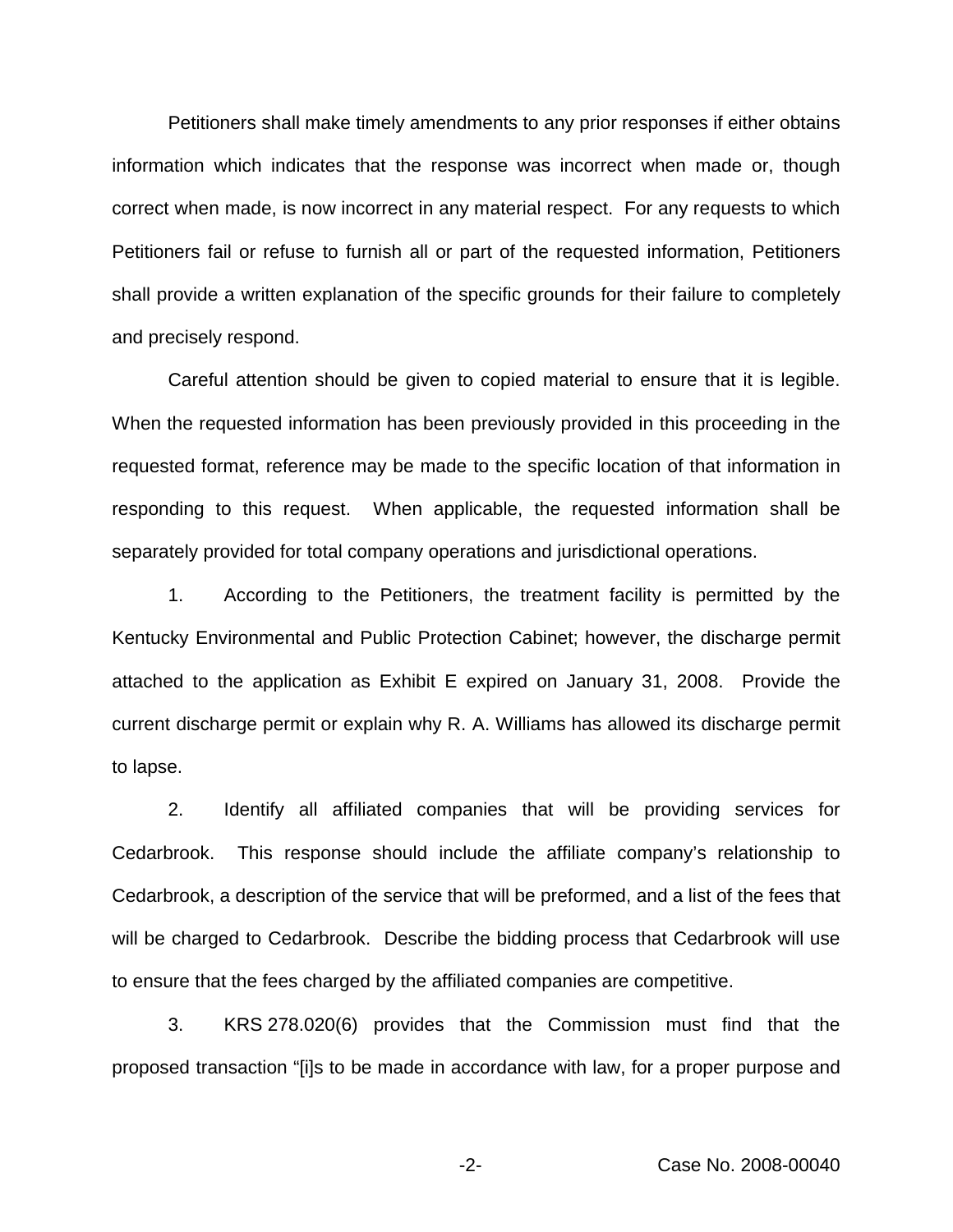Petitioners shall make timely amendments to any prior responses if either obtains information which indicates that the response was incorrect when made or, though correct when made, is now incorrect in any material respect. For any requests to which Petitioners fail or refuse to furnish all or part of the requested information, Petitioners shall provide a written explanation of the specific grounds for their failure to completely and precisely respond.

Careful attention should be given to copied material to ensure that it is legible. When the requested information has been previously provided in this proceeding in the requested format, reference may be made to the specific location of that information in responding to this request. When applicable, the requested information shall be separately provided for total company operations and jurisdictional operations.

1. According to the Petitioners, the treatment facility is permitted by the Kentucky Environmental and Public Protection Cabinet; however, the discharge permit attached to the application as Exhibit E expired on January 31, 2008. Provide the current discharge permit or explain why R. A. Williams has allowed its discharge permit to lapse.

2. Identify all affiliated companies that will be providing services for Cedarbrook. This response should include the affiliate company's relationship to Cedarbrook, a description of the service that will be preformed, and a list of the fees that will be charged to Cedarbrook. Describe the bidding process that Cedarbrook will use to ensure that the fees charged by the affiliated companies are competitive.

3. KRS 278.020(6) provides that the Commission must find that the proposed transaction "[i]s to be made in accordance with law, for a proper purpose and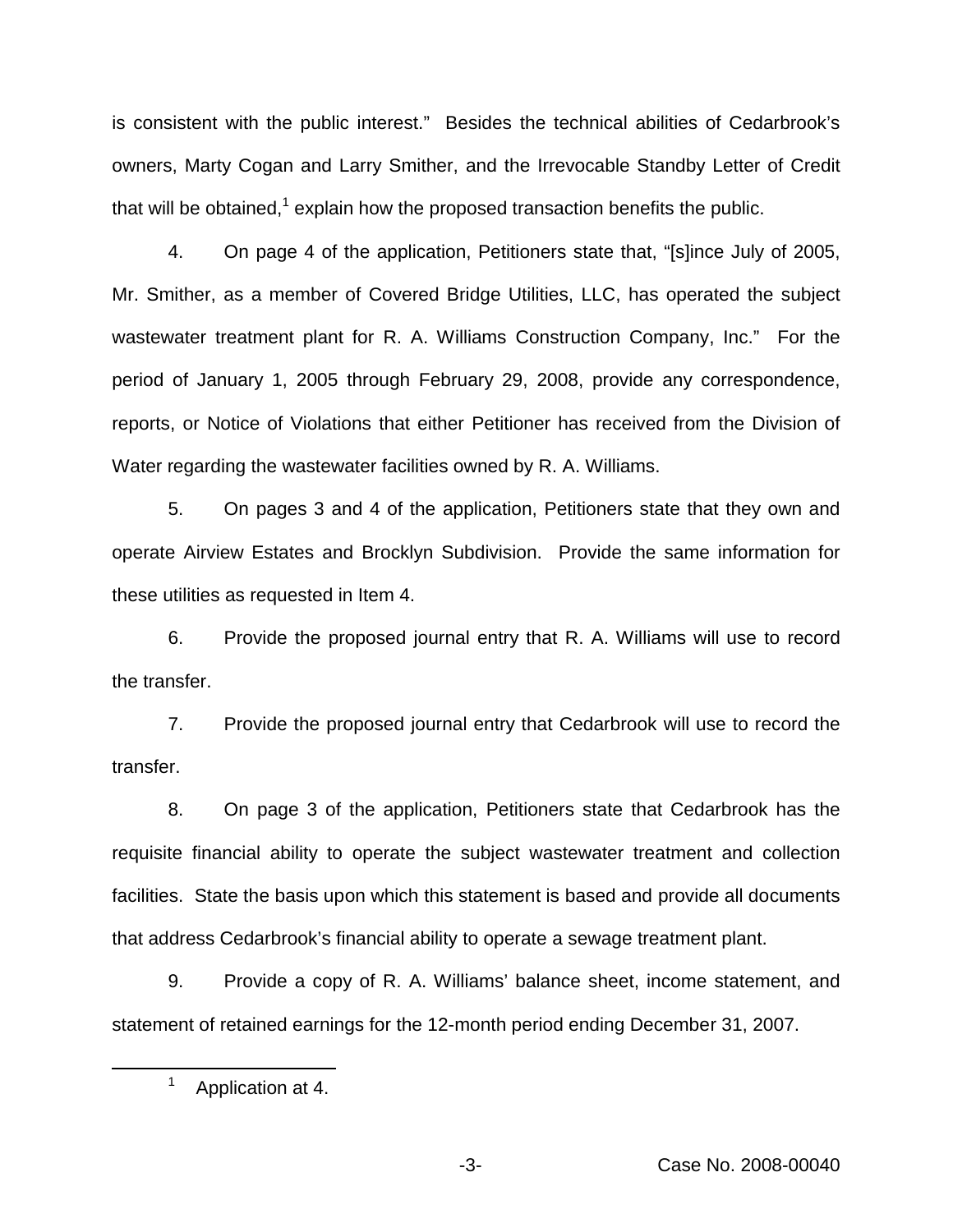is consistent with the public interest." Besides the technical abilities of Cedarbrook's owners, Marty Cogan and Larry Smither, and the Irrevocable Standby Letter of Credit that will be obtained,<sup>1</sup> explain how the proposed transaction benefits the public.

4. On page 4 of the application, Petitioners state that, "[s]ince July of 2005, Mr. Smither, as a member of Covered Bridge Utilities, LLC, has operated the subject wastewater treatment plant for R. A. Williams Construction Company, Inc." For the period of January 1, 2005 through February 29, 2008, provide any correspondence, reports, or Notice of Violations that either Petitioner has received from the Division of Water regarding the wastewater facilities owned by R. A. Williams.

5. On pages 3 and 4 of the application, Petitioners state that they own and operate Airview Estates and Brocklyn Subdivision. Provide the same information for these utilities as requested in Item 4.

6. Provide the proposed journal entry that R. A. Williams will use to record the transfer.

7. Provide the proposed journal entry that Cedarbrook will use to record the transfer.

8. On page 3 of the application, Petitioners state that Cedarbrook has the requisite financial ability to operate the subject wastewater treatment and collection facilities. State the basis upon which this statement is based and provide all documents that address Cedarbrook's financial ability to operate a sewage treatment plant.

9. Provide a copy of R. A. Williams' balance sheet, income statement, and statement of retained earnings for the 12-month period ending December 31, 2007.

<sup>&</sup>lt;sup>1</sup> Application at 4.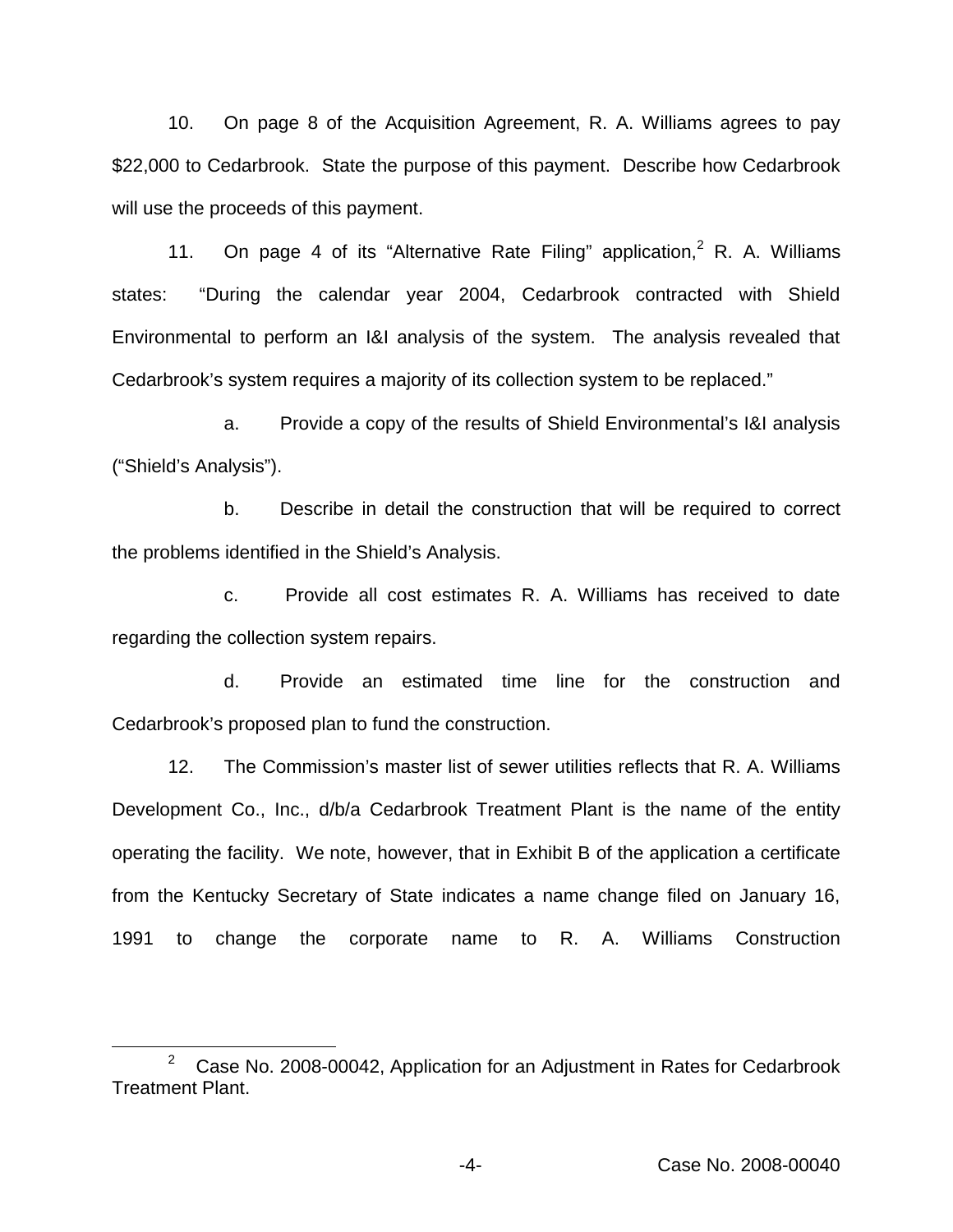10. On page 8 of the Acquisition Agreement, R. A. Williams agrees to pay \$22,000 to Cedarbrook. State the purpose of this payment. Describe how Cedarbrook will use the proceeds of this payment.

11. On page 4 of its "Alternative Rate Filing" application,  $2 \text{ R}$ . A. Williams states: "During the calendar year 2004, Cedarbrook contracted with Shield Environmental to perform an I&I analysis of the system. The analysis revealed that Cedarbrook's system requires a majority of its collection system to be replaced."

a. Provide a copy of the results of Shield Environmental's I&I analysis ("Shield's Analysis").

b. Describe in detail the construction that will be required to correct the problems identified in the Shield's Analysis.

c. Provide all cost estimates R. A. Williams has received to date regarding the collection system repairs.

d. Provide an estimated time line for the construction and Cedarbrook's proposed plan to fund the construction.

12. The Commission's master list of sewer utilities reflects that R. A. Williams Development Co., Inc., d/b/a Cedarbrook Treatment Plant is the name of the entity operating the facility. We note, however, that in Exhibit B of the application a certificate from the Kentucky Secretary of State indicates a name change filed on January 16, 1991 to change the corporate name to R. A. Williams Construction

 $2^{\circ}$  Case No. 2008-00042, Application for an Adjustment in Rates for Cedarbrook Treatment Plant.